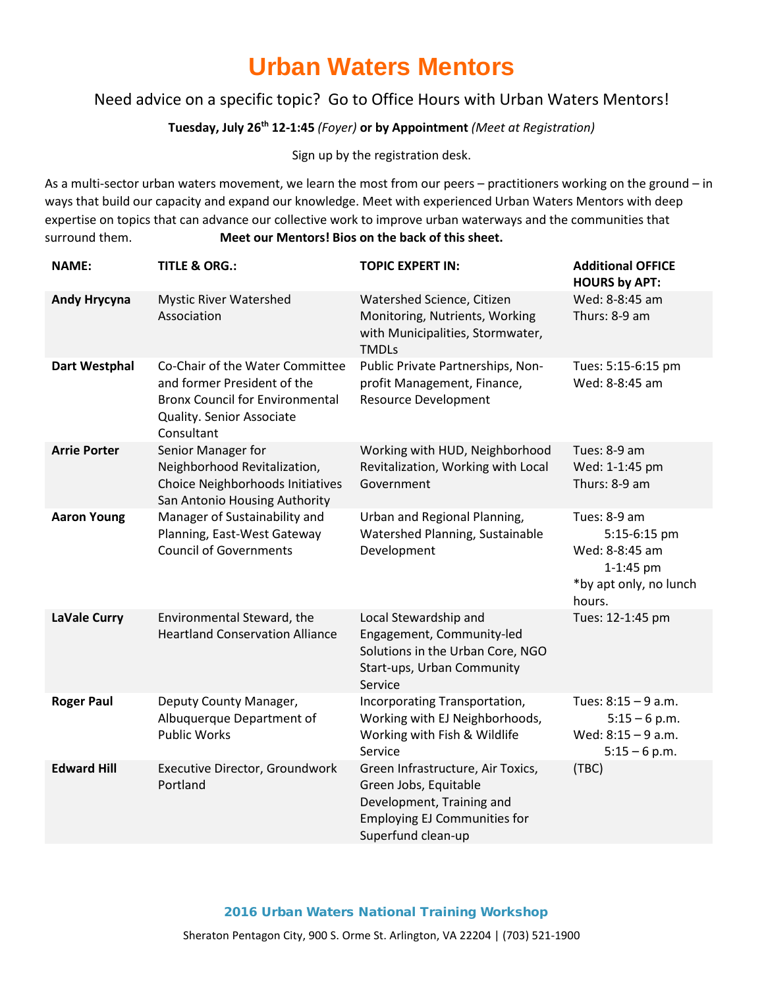## **Urban Waters Mentors**

### Need advice on a specific topic? Go to Office Hours with Urban Waters Mentors!

#### **Tuesday, July 26th 12-1:45** *(Foyer)* **or by Appointment** *(Meet at Registration)*

Sign up by the registration desk.

As a multi-sector urban waters movement, we learn the most from our peers – practitioners working on the ground – in ways that build our capacity and expand our knowledge. Meet with experienced Urban Waters Mentors with deep expertise on topics that can advance our collective work to improve urban waterways and the communities that surround them. **Meet our Mentors! Bios on the back of this sheet.** 

| <b>NAME:</b>         | <b>TITLE &amp; ORG.:</b>                                                                                                                            | <b>TOPIC EXPERT IN:</b>                                                                                                                              | <b>Additional OFFICE</b><br><b>HOURS by APT:</b>                                                |
|----------------------|-----------------------------------------------------------------------------------------------------------------------------------------------------|------------------------------------------------------------------------------------------------------------------------------------------------------|-------------------------------------------------------------------------------------------------|
| <b>Andy Hrycyna</b>  | <b>Mystic River Watershed</b><br>Association                                                                                                        | Watershed Science, Citizen<br>Monitoring, Nutrients, Working<br>with Municipalities, Stormwater,<br><b>TMDLs</b>                                     | Wed: 8-8:45 am<br>Thurs: 8-9 am                                                                 |
| <b>Dart Westphal</b> | Co-Chair of the Water Committee<br>and former President of the<br><b>Bronx Council for Environmental</b><br>Quality. Senior Associate<br>Consultant | Public Private Partnerships, Non-<br>profit Management, Finance,<br><b>Resource Development</b>                                                      | Tues: 5:15-6:15 pm<br>Wed: 8-8:45 am                                                            |
| <b>Arrie Porter</b>  | Senior Manager for<br>Neighborhood Revitalization,<br>Choice Neighborhoods Initiatives<br>San Antonio Housing Authority                             | Working with HUD, Neighborhood<br>Revitalization, Working with Local<br>Government                                                                   | Tues: 8-9 am<br>Wed: 1-1:45 pm<br>Thurs: 8-9 am                                                 |
| <b>Aaron Young</b>   | Manager of Sustainability and<br>Planning, East-West Gateway<br><b>Council of Governments</b>                                                       | Urban and Regional Planning,<br>Watershed Planning, Sustainable<br>Development                                                                       | Tues: 8-9 am<br>5:15-6:15 pm<br>Wed: 8-8:45 am<br>1-1:45 pm<br>*by apt only, no lunch<br>hours. |
| <b>LaVale Curry</b>  | Environmental Steward, the<br><b>Heartland Conservation Alliance</b>                                                                                | Local Stewardship and<br>Engagement, Community-led<br>Solutions in the Urban Core, NGO<br>Start-ups, Urban Community<br>Service                      | Tues: 12-1:45 pm                                                                                |
| <b>Roger Paul</b>    | Deputy County Manager,<br>Albuquerque Department of<br><b>Public Works</b>                                                                          | Incorporating Transportation,<br>Working with EJ Neighborhoods,<br>Working with Fish & Wildlife<br>Service                                           | Tues: 8:15 - 9 a.m.<br>$5:15 - 6$ p.m.<br>Wed: 8:15 - 9 a.m.<br>$5:15 - 6$ p.m.                 |
| <b>Edward Hill</b>   | Executive Director, Groundwork<br>Portland                                                                                                          | Green Infrastructure, Air Toxics,<br>Green Jobs, Equitable<br>Development, Training and<br><b>Employing EJ Communities for</b><br>Superfund clean-up | (TBC)                                                                                           |

2016 Urban Waters National Training Workshop Sheraton Pentagon City, 900 S. Orme St. Arlington, VA 22204 | (703) 521-1900